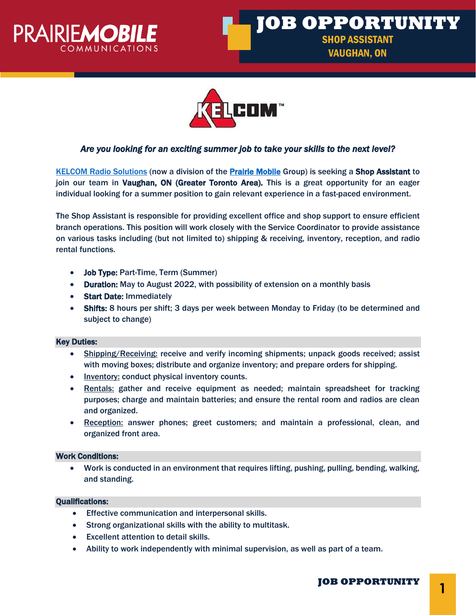





# *Are you looking for an exciting summer job to take your skills to the next level?*

[KELCOM Radio Solutions](https://www.kelcomradio.com/) (now a division of the [Prairie Mobile](https://www.prairiemobile.com/) Group) is seeking a Shop Assistant to join our team in Vaughan, ON (Greater Toronto Area). This is a great opportunity for an eager individual looking for a summer position to gain relevant experience in a fast-paced environment.

The Shop Assistant is responsible for providing excellent office and shop support to ensure efficient branch operations. This position will work closely with the Service Coordinator to provide assistance on various tasks including (but not limited to) shipping & receiving, inventory, reception, and radio rental functions.

- Job Type: Part-Time, Term (Summer)
- Duration: May to August 2022, with possibility of extension on a monthly basis
- Start Date: Immediately
- Shifts: 8 hours per shift; 3 days per week between Monday to Friday (to be determined and subject to change)

## **Key Duties:**

- Shipping/Receiving: receive and verify incoming shipments; unpack goods received; assist with moving boxes; distribute and organize inventory; and prepare orders for shipping.
- Inventory: conduct physical inventory counts.
- Rentals: gather and receive equipment as needed; maintain spreadsheet for tracking purposes; charge and maintain batteries; and ensure the rental room and radios are clean and organized.
- Reception: answer phones; greet customers; and maintain a professional, clean, and organized front area.

## Work Conditions:

• Work is conducted in an environment that requires lifting, pushing, pulling, bending, walking, and standing.

## Qualifications:

- Effective communication and interpersonal skills.
- Strong organizational skills with the ability to multitask.
- Excellent attention to detail skills.
- Ability to work independently with minimal supervision, as well as part of a team.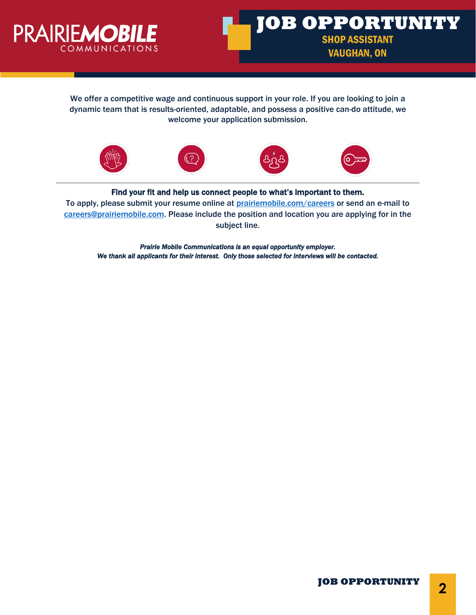

We offer a competitive wage and continuous support in your role. If you are looking to join a dynamic team that is results-oriented, adaptable, and possess a positive can-do attitude, we welcome your application submission.









Find your fit and help us connect people to what's important to them.

To apply, please submit your resume online at [prairiemobile.com/careers](mailto:prairiemobile.com/careers) or send an e-mail to [careers@prairiemobile.com.](mailto:careers@prairiemobile.com) Please include the position and location you are applying for in the subject line.

*Prairie Mobile Communications is an equal opportunity employer. We thank all applicants for their interest. Only those selected for interviews will be contacted.*